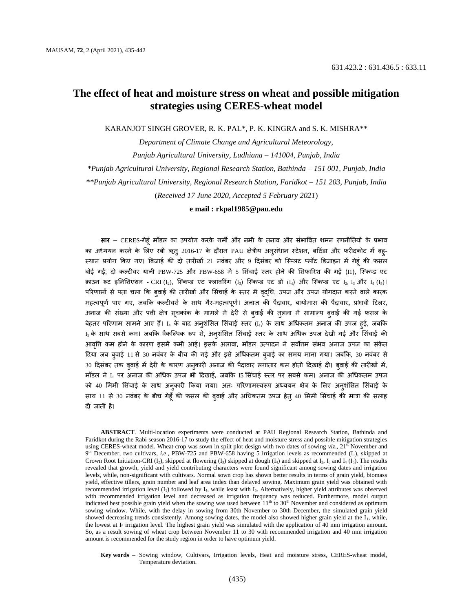# **The effect of heat and moisture stress on wheat and possible mitigation strategies using CERES-wheat model**

KARANJOT SINGH GROVER, R. K. PAL\*, P. K. KINGRA and S. K. MISHRA\*\*

*Department of Climate Change and Agricultural Meteorology, Punjab Agricultural University, Ludhiana – 141004, Punjab, India \*Punjab Agricultural University, Regional Research Station, Bathinda – 151 001, Punjab, India \*\*Punjab Agricultural University, Regional Research Station, Faridkot – 151 203, Punjab, India*  (*Received 17 June 2020, Accepted 5 February 2021*)

**e mail : rkpal1985@pau.edu**

**सार** — CERES-गेह ूं मॉडल का उपयोग करके गमी और नमी के तनाव और सूंभाववत शमन रणनीततयों के प्रभाव का अध्ययन करने के लिए रबी ऋतु 2016-17 के दौरान PAU क्षेत्रीय अनुसंधान स्टेशन, बठिंडा और फरीदकोट में बहु-स्थान प्रयोग किए गए। बिजाई की दो तारीखों 21 नवंबर और 9 दिसंबर को स्प्लिट प्लॉट डिजाइन में गेहूं की फसल बोई गई, दो कल्टीवर यानी PBW-725 और PBW-658 में 5 सिंचाई स्तर होने की सिफारिश की गई (I1), स्किप्ड एट क्राउन रूट इतनलशएशन **-** CRI (I2), स्पस्कलड एट फ्लावररूंग (I3) स्पस्कलड एट डो (I4) और स्पस्कलड एट I2, I<sup>3</sup> और I<sup>4</sup> (I5)। परिणामों से पता चला कि ब्**वाई की तारीखों और सिंचाई के स्तर में** वृद्**धि, उपज और उपज योगदान करने वाले कार**क महत्वपूर्ण पाए गए, जबकि कल्टीवर्स के साथ गैर-महत्वपूर्ण। अनाज की पैदावार, बायोमास की पैदावार, प्रभावी टिलर, अनाज की संख्या और पती क्षेत्र सूचकांक के मामले में देरी से बवाई की तुलना में सामान्य ब्**वाई की गई फसल के** बेहतर परिणाम सामने आए हैं। I4 के बाद अनुशंसित सिंचाई स्तर (I<sub>1</sub>) के साथ अधिकतम अनाज की उपज हुई, जबकि  $_{5}$ के साथ सबसे कम। जबकि वैकल्पिक रूप से, अन्**शंसित सिंचाई स्तर के साथ अधिक उपज देखी** गई और सिंचाई की आवृत्ति कम होने के कारण इसमें कमी आई। इसके अलावा, मॉडल उत्पादन ने सर्वोत्तम संभव अनाज उपज का संकेत दिया जब बुवाई 11 से 30 नवंबर के बीच की गई और इसे अधिकतम बुवाई का समय माना गया। जबकि, 30 नवंबर से 30 दिसंबर तक बुवाई में देरी के कारण अनुकारी अनाज की पैदावार लगातार कम होती दिखाई दी। ब्**वाई की तारीखों में**, मॉडल ने I<sup>1</sup> पर अनाज की अधधक उपज भी ठदखाई**,** जबकक I5 लस ूंचाई स्तर पर सबसे कम। अनाज की अधधकतम उपज को 40 मिमी सिंचाई के साथ अनुकारी किया गया। अतः परिणामस्वरूप अध्ययन क्षेत्र के लिए अनुशंसित सिंचाई के साथ 11 से 30 नवंबर के बीच गेहूँ की फसल की बुवाई और अधिकतम उपज हेतु 40 मिमी सिंचाई की मात्रा की सलाह दी जाती है।

**ABSTRACT**. Multi-location experiments were conducted at PAU Regional Research Station, Bathinda and Faridkot during the Rabi season 2016-17 to study the effect of heat and moisture stress and possible mitigation strategies using CERES-wheat model. Wheat crop was sown in spilt plot design with two dates of sowing *viz*., 21<sup>st</sup> November and 9<sup>th</sup> December, two cultivars, *i.e.*, PBW-725 and PBW-658 having 5 irrigation levels as recommended (I<sub>1</sub>), skipped at Crown Root Initiation-CRI (I<sub>2</sub>), skipped at flowering (I<sub>3</sub>) skipped at dough (I<sub>4</sub>) and skipped at I<sub>2</sub>, I<sub>3</sub> and I<sub>4</sub> (I<sub>5</sub>). The results revealed that growth, yield and yield contributing characters were found significant among sowing dates and irrigation levels, while, non-significant with cultivars. Normal sown crop has shown better results in terms of grain yield, biomass yield, effective tillers, grain number and leaf area index than delayed sowing. Maximum grain yield was obtained with recommended irrigation level  $(I_1)$  followed by  $I_4$ , while least with  $I_5$ . Alternatively, higher yield attributes was observed with recommended irrigation level and decreased as irrigation frequency was reduced. Furthermore, model output indicated best possible grain yield when the sowing was used between  $11<sup>th</sup>$  to  $30<sup>th</sup>$  November and considered as optimum sowing window. While, with the delay in sowing from 30th November to 30th December, the simulated grain yield showed decreasing trends consistently. Among sowing dates, the model also showed higher grain yield at the I<sub>1</sub>, while, the lowest at  $I_5$  irrigation level. The highest grain yield was simulated with the application of 40 mm irrigation amount. So, as a result sowing of wheat crop between November 11 to 30 with recommended irrigation and 40 mm irrigation amount is recommended for the study region in order to have optimum yield.

**Key words** – Sowing window, Cultivars, Irrigation levels, Heat and moisture stress, CERES-wheat model, Temperature deviation.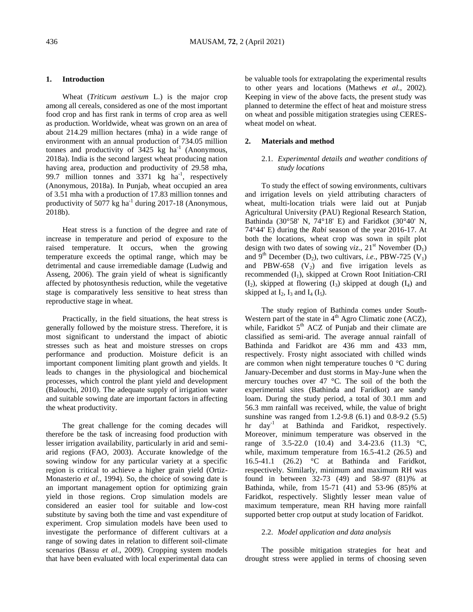### **1. Introduction**

Wheat (*Triticum aestivum* L.) is the major crop among all cereals, considered as one of the most important food crop and has first rank in terms of crop area as well as production. Worldwide, wheat was grown on an area of about 214.29 million hectares (mha) in a wide range of environment with an annual production of 734.05 million tonnes and productivity of  $3425 \text{ kg}$  ha<sup>-1</sup> (Anonymous, 2018a). India is the second largest wheat producing nation having area, production and productivity of 29.58 mha, 99.7 million tonnes and  $3371 \text{ kg}$  ha<sup>-1</sup>, respectively (Anonymous, 2018a). In Punjab, wheat occupied an area of 3.51 mha with a production of 17.83 million tonnes and productivity of  $5077$  kg ha<sup>-1</sup> during 2017-18 (Anonymous, 2018b).

Heat stress is a function of the degree and rate of increase in temperature and period of exposure to the raised temperature. It occurs, when the growing temperature exceeds the optimal range, which may be detrimental and cause irremediable damage (Ludwig and Asseng, 2006). The grain yield of wheat is significantly affected by photosynthesis reduction, while the vegetative stage is comparatively less sensitive to heat stress than reproductive stage in wheat.

Practically, in the field situations, the heat stress is generally followed by the moisture stress. Therefore, it is most significant to understand the impact of abiotic stresses such as heat and moisture stresses on crops performance and production. Moisture deficit is an important component limiting plant growth and yields. It leads to changes in the physiological and biochemical processes, which control the plant yield and development (Balouchi, 2010). The adequate supply of irrigation water and suitable sowing date are important factors in affecting the wheat productivity.

The great challenge for the coming decades will therefore be the task of increasing food production with lesser irrigation availability, particularly in arid and semiarid regions (FAO, 2003). Accurate knowledge of the sowing window for any particular variety at a specific region is critical to achieve a higher grain yield (Ortiz-Monasterio *et al.*, 1994). So, the choice of sowing date is an important management option for optimizing grain yield in those regions. Crop simulation models are considered an easier tool for suitable and low-cost substitute by saving both the time and vast expenditure of experiment. Crop simulation models have been used to investigate the performance of different cultivars at a range of sowing dates in relation to different soil-climate scenarios (Bassu *et al.*, 2009). Cropping system models that have been evaluated with local experimental data can be valuable tools for extrapolating the experimental results to other years and locations (Mathews *et al.*, 2002). Keeping in view of the above facts, the present study was planned to determine the effect of heat and moisture stress on wheat and possible mitigation strategies using CERESwheat model on wheat.

### **2. Materials and method**

# 2.1. *Experimental details and weather conditions of study locations*

To study the effect of sowing environments, cultivars and irrigation levels on yield attributing characters of wheat, multi-location trials were laid out at Punjab Agricultural University (PAU) Regional Research Station, Bathinda (30°58' N, 74°18' E) and Faridkot (30°40' N, 74°44' E) during the *Rabi* season of the year 2016-17. At both the locations, wheat crop was sown in spilt plot design with two dates of sowing *viz*.,  $21^{st}$  November (D<sub>1</sub>) and 9<sup>th</sup> December (D<sub>2</sub>), two cultivars, *i.e.*, PBW-725 (V<sub>1</sub>) and PBW-658  $(V_2)$  and five irrigation levels as recommended  $(I_1)$ , skipped at Crown Root Initiation-CRI  $(I_2)$ , skipped at flowering  $(I_3)$  skipped at dough  $(I_4)$  and skipped at  $I_2$ ,  $I_3$  and  $I_4$  ( $I_5$ ).

The study region of Bathinda comes under South-Western part of the state in 4<sup>th</sup> Agro Climatic zone (ACZ), while, Faridkot  $5<sup>th</sup>$  ACZ of Punjab and their climate are classified as semi-arid. The average annual rainfall of Bathinda and Faridkot are 436 mm and 433 mm, respectively. Frosty night associated with chilled winds are common when night temperature touches 0 °C during January-December and dust storms in May-June when the mercury touches over 47 °C. The soil of the both the experimental sites (Bathinda and Faridkot) are sandy loam. During the study period, a total of 30.1 mm and 56.3 mm rainfall was received, while, the value of bright sunshine was ranged from 1.2-9.8 (6.1) and 0.8-9.2 (5.5) hr day<sup>-1</sup> at Bathinda and Faridkot, respectively. Moreover, minimum temperature was observed in the range of 3.5-22.0 (10.4) and 3.4-23.6 (11.3) °C, while, maximum temperature from 16.5-41.2 (26.5) and 16.5-41.1 (26.2) °C at Bathinda and Faridkot, respectively. Similarly, minimum and maximum RH was found in between 32-73 (49) and 58-97 (81)% at Bathinda, while, from 15-71 (41) and 53-96 (85)% at Faridkot, respectively. Slightly lesser mean value of maximum temperature, mean RH having more rainfall supported better crop output at study location of Faridkot.

### 2.2. *Model application and data analysis*

The possible mitigation strategies for heat and drought stress were applied in terms of choosing seven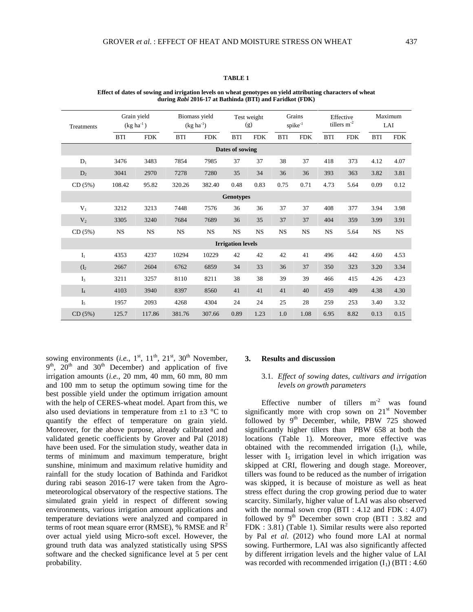| Treatments        |            | Grain yield<br>$(kg ha-1)$ |            | Biomass yield<br>$(kg ha^{-1})$ |                          | Test weight<br>(g) | Grains<br>spike <sup>-1</sup> |            | Effective<br>tillers $m^{-2}$ |            | Maximum<br>LAI |            |
|-------------------|------------|----------------------------|------------|---------------------------------|--------------------------|--------------------|-------------------------------|------------|-------------------------------|------------|----------------|------------|
|                   | <b>BTI</b> | <b>FDK</b>                 | <b>BTI</b> | <b>FDK</b>                      | <b>BTI</b>               | <b>FDK</b>         | <b>BTI</b>                    | <b>FDK</b> | <b>BTI</b>                    | <b>FDK</b> | <b>BTI</b>     | <b>FDK</b> |
| Dates of sowing   |            |                            |            |                                 |                          |                    |                               |            |                               |            |                |            |
| $D_1$             | 3476       | 3483                       | 7854       | 7985                            | 37                       | 37                 | 38                            | 37         | 418                           | 373        | 4.12           | 4.07       |
| $D_2$             | 3041       | 2970                       | 7278       | 7280                            | 35                       | 34                 | 36                            | 36         | 393                           | 363        | 3.82           | 3.81       |
| CD(5%)            | 108.42     | 95.82                      | 320.26     | 382.40                          | 0.48                     | 0.83               | 0.75                          | 0.71       | 4.73                          | 5.64       | 0.09           | 0.12       |
| <b>Genotypes</b>  |            |                            |            |                                 |                          |                    |                               |            |                               |            |                |            |
| $V_1$             | 3212       | 3213                       | 7448       | 7576                            | 36                       | 36                 | 37                            | 37         | 408                           | 377        | 3.94           | 3.98       |
| V <sub>2</sub>    | 3305       | 3240                       | 7684       | 7689                            | 36                       | 35                 | 37                            | 37         | 404                           | 359        | 3.99           | 3.91       |
| CD(5%)            | NS         | NS                         | <b>NS</b>  | NS                              | <b>NS</b>                | <b>NS</b>          | <b>NS</b>                     | <b>NS</b>  | <b>NS</b>                     | 5.64       | NS             | <b>NS</b>  |
|                   |            |                            |            |                                 | <b>Irrigation levels</b> |                    |                               |            |                               |            |                |            |
| $I_1$             | 4353       | 4237                       | 10294      | 10229                           | 42                       | 42                 | 42                            | 41         | 496                           | 442        | 4.60           | 4.53       |
| (I <sub>2</sub> ) | 2667       | 2604                       | 6762       | 6859                            | 34                       | 33                 | 36                            | 37         | 350                           | 323        | 3.20           | 3.34       |
| I <sub>3</sub>    | 3211       | 3257                       | 8110       | 8211                            | 38                       | 38                 | 39                            | 39         | 466                           | 415        | 4.26           | 4.23       |
| I <sub>4</sub>    | 4103       | 3940                       | 8397       | 8560                            | 41                       | 41                 | 41                            | 40         | 459                           | 409        | 4.38           | 4.30       |
| I <sub>5</sub>    | 1957       | 2093                       | 4268       | 4304                            | 24                       | 24                 | 25                            | 28         | 259                           | 253        | 3.40           | 3.32       |
| CD(5%)            | 125.7      | 117.86                     | 381.76     | 307.66                          | 0.89                     | 1.23               | 1.0                           | 1.08       | 6.95                          | 8.82       | 0.13           | 0.15       |

**Effect of dates of sowing and irrigation levels on wheat genotypes on yield attributing characters of wheat during** *Rabi* **2016-17 at Bathinda (BTI) and Faridkot (FDK)**

sowing environments (*i.e.*,  $1<sup>st</sup>$ ,  $11<sup>th</sup>$ ,  $21<sup>st</sup>$ ,  $30<sup>th</sup>$  November,  $9<sup>th</sup>$ ,  $20<sup>th</sup>$  and  $30<sup>th</sup>$  December) and application of five irrigation amounts (*i.e.*, 20 mm, 40 mm, 60 mm, 80 mm and 100 mm to setup the optimum sowing time for the best possible yield under the optimum irrigation amount with the help of CERES-wheat model. Apart from this, we also used deviations in temperature from  $\pm 1$  to  $\pm 3$  °C to quantify the effect of temperature on grain yield. Moreover, for the above purpose, already calibrated and validated genetic coefficients by Grover and Pal (2018) have been used. For the simulation study, weather data in terms of minimum and maximum temperature, bright sunshine, minimum and maximum relative humidity and rainfall for the study location of Bathinda and Faridkot during rabi season 2016-17 were taken from the Agrometeorological observatory of the respective stations. The simulated grain yield in respect of different sowing environments, various irrigation amount applications and temperature deviations were analyzed and compared in terms of root mean square error (RMSE), % RMSE and  $R^2$ over actual yield using Micro-soft excel. However, the ground truth data was analyzed statistically using SPSS software and the checked significance level at 5 per cent probability.

### **3. Results and discussion**

# 3.1. *Effect of sowing dates, cultivars and irrigation levels on growth parameters*

Effective number of tillers  $m<sup>-2</sup>$  was found significantly more with crop sown on  $21<sup>st</sup>$  November followed by 9<sup>th</sup> December, while, PBW 725 showed significantly higher tillers than PBW 658 at both the locations (Table 1). Moreover, more effective was obtained with the recommended irrigation  $(I_1)$ , while, lesser with  $I_5$  irrigation level in which irrigation was skipped at CRI, flowering and dough stage. Moreover, tillers was found to be reduced as the number of irrigation was skipped, it is because of moisture as well as heat stress effect during the crop growing period due to water scarcity. Similarly, higher value of LAI was also observed with the normal sown crop (BTI : 4.12 and FDK : 4.07) followed by  $9<sup>th</sup>$  December sown crop (BTI : 3.82 and FDK : 3.81) (Table 1). Similar results were also reported by Pal *et al.* (2012) who found more LAI at normal sowing. Furthermore, LAI was also significantly affected by different irrigation levels and the higher value of LAI was recorded with recommended irrigation  $(I_1)$  (BTI : 4.60)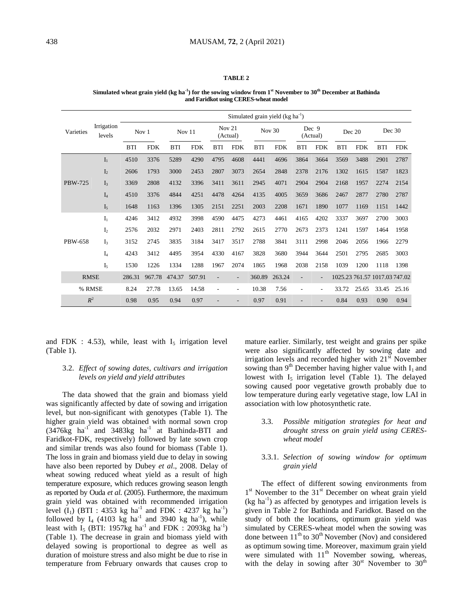#### **Simulated wheat grain yield (kg ha-1 ) for the sowing window from 1st November to 30th December at Bathinda and Faridkot using CERES-wheat model**

|                |                      | Simulated grain yield $(kg ha^{-1})$ |            |            |            |                    |                |            |            |                   |            |            |            |                               |            |
|----------------|----------------------|--------------------------------------|------------|------------|------------|--------------------|----------------|------------|------------|-------------------|------------|------------|------------|-------------------------------|------------|
| Varieties      | Irrigation<br>levels | Nov 1                                |            | Nov 11     |            | Nov 21<br>(Actual) |                | Nov $30$   |            | Dec 9<br>(Actual) |            | Dec 20     |            | Dec 30                        |            |
|                |                      | <b>BTI</b>                           | <b>FDK</b> | <b>BTI</b> | <b>FDK</b> | <b>BTI</b>         | <b>FDK</b>     | <b>BTI</b> | <b>FDK</b> | <b>BTI</b>        | <b>FDK</b> | <b>BTI</b> | <b>FDK</b> | <b>BTI</b>                    | <b>FDK</b> |
| <b>PBW-725</b> | I <sub>1</sub>       | 4510                                 | 3376       | 5289       | 4290       | 4795               | 4608           | 4441       | 4696       | 3864              | 3664       | 3569       | 3488       | 2901                          | 2787       |
|                | I <sub>2</sub>       | 2606                                 | 1793       | 3000       | 2453       | 2807               | 3073           | 2654       | 2848       | 2378              | 2176       | 1302       | 1615       | 1587                          | 1823       |
|                | I <sub>3</sub>       | 3369                                 | 2808       | 4132       | 3396       | 3411               | 3611           | 2945       | 4071       | 2904              | 2904       | 2168       | 1957       | 2274                          | 2154       |
|                | $I_4$                | 4510                                 | 3376       | 4844       | 4251       | 4478               | 4264           | 4135       | 4005       | 3659              | 3686       | 2467       | 2877       | 2780                          | 2787       |
|                | I <sub>5</sub>       | 1648                                 | 1163       | 1396       | 1305       | 2151               | 2251           | 2003       | 2208       | 1671              | 1890       | 1077       | 1169       | 1151                          | 1442       |
|                | I <sub>1</sub>       | 4246                                 | 3412       | 4932       | 3998       | 4590               | 4475           | 4273       | 4461       | 4165              | 4202       | 3337       | 3697       | 2700                          | 3003       |
|                | I <sub>2</sub>       | 2576                                 | 2032       | 2971       | 2403       | 2811               | 2792           | 2615       | 2770       | 2673              | 2373       | 1241       | 1597       | 1464                          | 1958       |
| PBW-658        | I <sub>3</sub>       | 3152                                 | 2745       | 3835       | 3184       | 3417               | 3517           | 2788       | 3841       | 3111              | 2998       | 2046       | 2056       | 1966                          | 2279       |
|                | $I_4$                | 4243                                 | 3412       | 4495       | 3954       | 4330               | 4167           | 3828       | 3680       | 3944              | 3644       | 2501       | 2795       | 2685                          | 3003       |
|                | I,                   | 1530                                 | 1226       | 1334       | 1288       | 1967               | 2074           | 1865       | 1968       | 2038              | 2158       | 1039       | 1200       | 1118                          | 1398       |
| <b>RMSE</b>    |                      | 286.31                               | 967.78     | 474.37     | 507.91     | $\overline{a}$     | $\overline{a}$ | 360.89     | 263.24     |                   | L,         |            |            | 1025.23 761.57 1017.03 747.02 |            |
| % RMSE         |                      | 8.24                                 | 27.78      | 13.65      | 14.58      |                    | ٠              | 10.38      | 7.56       |                   | ä,         | 33.72      | 25.65      | 33.45                         | 25.16      |
| $R^2$          |                      | 0.98                                 | 0.95       | 0.94       | 0.97       |                    |                | 0.97       | 0.91       |                   |            | 0.84       | 0.93       | 0.90                          | 0.94       |

and FDK : 4.53), while, least with  $I_5$  irrigation level (Table 1).

# 3.2. *Effect of sowing dates, cultivars and irrigation levels on yield and yield attributes*

The data showed that the grain and biomass yield was significantly affected by date of sowing and irrigation level, but non-significant with genotypes (Table 1). The higher grain yield was obtained with normal sown crop  $(3476\text{kg} \text{ha}^{-1} \text{ and } 3483\text{kg} \text{ha}^{-1} \text{ at } \text{Bathinda-BTI} \text{ and }$ Faridkot-FDK, respectively) followed by late sown crop and similar trends was also found for biomass (Table 1). The loss in grain and biomass yield due to delay in sowing have also been reported by Dubey *et al*., 2008. Delay of wheat sowing reduced wheat yield as a result of high temperature exposure, which reduces growing season length as reported by Ouda *et al*. (2005). Furthermore, the maximum grain yield was obtained with recommended irrigation level  $(I_1)$  (BTI : 4353 kg ha<sup>-1</sup> and FDK : 4237 kg ha<sup>-1</sup>) followed by  $I_4$  (4103 kg ha<sup>-1</sup> and 3940 kg ha<sup>-1</sup>), while least with  $I_5$  (BTI: 1957kg ha<sup>-1</sup> and FDK : 2093kg ha<sup>-1</sup>) (Table 1). The decrease in grain and biomass yield with delayed sowing is proportional to degree as well as duration of moisture stress and also might be due to rise in temperature from February onwards that causes crop to

mature earlier. Similarly, test weight and grains per spike were also significantly affected by sowing date and irrigation levels and recorded higher with  $21<sup>st</sup>$  November sowing than  $9<sup>th</sup>$  December having higher value with  $I_1$  and lowest with  $I_5$  irrigation level (Table 1). The delayed sowing caused poor vegetative growth probably due to low temperature during early vegetative stage, low LAI in association with low photosynthetic rate.

3.3. *Possible mitigation strategies for heat and drought stress on grain yield using CERESwheat model*

# 3.3.1. *Selection of sowing window for optimum grain yield*

The effect of different sowing environments from 1<sup>st</sup> November to the 31<sup>st</sup> December on wheat grain yield  $(kg ha<sup>-1</sup>)$  as affected by genotypes and irrigation levels is given in Table 2 for Bathinda and Faridkot. Based on the study of both the locations, optimum grain yield was simulated by CERES-wheat model when the sowing was done between  $11<sup>th</sup>$  to  $30<sup>th</sup>$  November (Nov) and considered as optimum sowing time. Moreover, maximum grain yield were simulated with  $11<sup>th</sup>$  November sowing, whereas, with the delay in sowing after  $30<sup>st</sup>$  November to  $30<sup>th</sup>$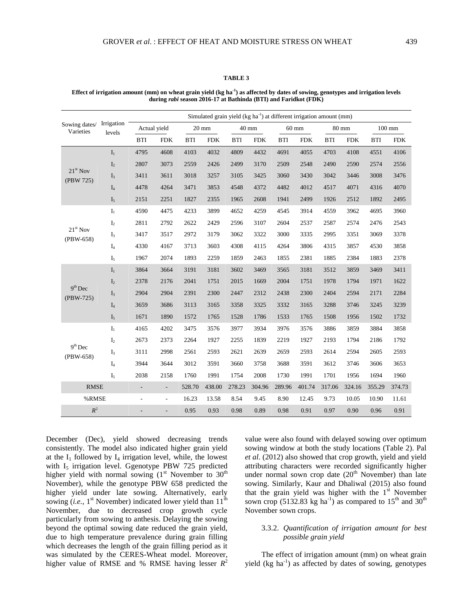| Effect of irrigation amount $(mm)$ on wheat grain yield $(kg ha-1)$ as affected by dates of sowing, genotypes and irrigation levels |
|-------------------------------------------------------------------------------------------------------------------------------------|
| during <i>rabi</i> season 2016-17 at Bathinda (BTI) and Faridkot (FDK)                                                              |

|                            |                      | Simulated grain yield (kg ha <sup>-1</sup> ) at different irrigation amount (mm) |                          |            |                 |            |            |            |                 |                      |            |            |                  |  |
|----------------------------|----------------------|----------------------------------------------------------------------------------|--------------------------|------------|-----------------|------------|------------|------------|-----------------|----------------------|------------|------------|------------------|--|
| Sowing dates/<br>Varieties | Irrigation<br>levels | Actual yield                                                                     |                          |            | $20 \text{ mm}$ |            | 40 mm      |            | $60 \text{ mm}$ | 80 mm                |            |            | $100 \text{ mm}$ |  |
|                            |                      | <b>BTI</b>                                                                       | <b>FDK</b>               | <b>BTI</b> | <b>FDK</b>      | <b>BTI</b> | <b>FDK</b> | <b>BTI</b> | <b>FDK</b>      | $\operatorname{BTI}$ | <b>FDK</b> | <b>BTI</b> | <b>FDK</b>       |  |
| $21st$ Nov<br>(PBW 725)    | $I_1$                | 4795                                                                             | 4608                     | 4103       | 4032            | 4809       | 4432       | 4691       | 4055            | 4703                 | 4108       | 4551       | 4106             |  |
|                            | $\mathbf{I}_2$       | 2807                                                                             | 3073                     | 2559       | 2426            | 2499       | 3170       | 2509       | 2548            | 2490                 | 2590       | 2574       | 2556             |  |
|                            | $\mathbf{I}_3$       | 3411                                                                             | 3611                     | 3018       | 3257            | 3105       | 3425       | 3060       | 3430            | 3042                 | 3446       | 3008       | 3476             |  |
|                            | $I_4$                | 4478                                                                             | 4264                     | 3471       | 3853            | 4548       | 4372       | 4482       | 4012            | 4517                 | 4071       | 4316       | 4070             |  |
|                            | I <sub>5</sub>       | 2151                                                                             | 2251                     | 1827       | 2355            | 1965       | 2608       | 1941       | 2499            | 1926                 | 2512       | 1892       | 2495             |  |
| $21st$ Nov<br>(PBW-658)    | $\mathbf{I}_1$       | 4590                                                                             | 4475                     | 4233       | 3899            | 4652       | 4259       | 4545       | 3914            | 4559                 | 3962       | 4695       | 3960             |  |
|                            | $\mathbf{I}_2$       | 2811                                                                             | 2792                     | 2622       | 2429            | 2596       | 3107       | 2604       | 2537            | 2587                 | 2574       | 2476       | 2543             |  |
|                            | $I_3$                | 3417                                                                             | 3517                     | 2972       | 3179            | 3062       | 3322       | 3000       | 3335            | 2995                 | 3351       | 3069       | 3378             |  |
|                            | I <sub>4</sub>       | 4330                                                                             | 4167                     | 3713       | 3603            | 4308       | 4115       | 4264       | 3806            | 4315                 | 3857       | 4530       | 3858             |  |
|                            | $I_5$                | 1967                                                                             | 2074                     | 1893       | 2259            | 1859       | 2463       | 1855       | 2381            | 1885                 | 2384       | 1883       | 2378             |  |
|                            | $\mathbf{I}_1$       | 3864                                                                             | 3664                     | 3191       | 3181            | 3602       | 3469       | 3565       | 3181            | 3512                 | 3859       | 3469       | 3411             |  |
|                            | $\mathbf{I}_2$       | 2378                                                                             | 2176                     | 2041       | 1751            | 2015       | 1669       | 2004       | 1751            | 1978                 | 1794       | 1971       | 1622             |  |
| $9th$ Dec<br>(PBW-725)     | $I_3$                | 2904                                                                             | 2904                     | 2391       | 2300            | 2447       | 2312       | 2438       | 2300            | 2404                 | 2594       | 2171       | 2284             |  |
|                            | I <sub>4</sub>       | 3659                                                                             | 3686                     | 3113       | 3165            | 3358       | 3325       | 3332       | 3165            | 3288                 | 3746       | 3245       | 3239             |  |
|                            | I <sub>5</sub>       | 1671                                                                             | 1890                     | 1572       | 1765            | 1528       | 1786       | 1533       | 1765            | 1508                 | 1956       | 1502       | 1732             |  |
|                            | $\mathbf{I}_1$       | 4165                                                                             | 4202                     | 3475       | 3576            | 3977       | 3934       | 3976       | 3576            | 3886                 | 3859       | 3884       | 3858             |  |
|                            | $\mathbf{I}_2$       | 2673                                                                             | 2373                     | 2264       | 1927            | 2255       | 1839       | 2219       | 1927            | 2193                 | 1794       | 2186       | 1792             |  |
| $9th$ Dec<br>(PBW-658)     | $\mathbf{I}_3$       | 3111                                                                             | 2998                     | 2561       | 2593            | 2621       | 2639       | 2659       | 2593            | 2614                 | 2594       | 2605       | 2593             |  |
|                            | $\mathbf{I}_4$       | 3944                                                                             | 3644                     | 3012       | 3591            | 3660       | 3758       | 3688       | 3591            | 3612                 | 3746       | 3606       | 3653             |  |
|                            | ${\rm I}_5$          | 2038                                                                             | 2158                     | 1760       | 1991            | 1754       | 2008       | 1730       | 1991            | 1701                 | 1956       | 1694       | 1960             |  |
| <b>RMSE</b>                |                      | $\overline{\phantom{a}}$                                                         | $\overline{\phantom{a}}$ | 528.70     | 438.00          | 278.23     | 304.96     | 289.96     | 401.74          | 317.06               | 324.16     | 355.29     | 374.73           |  |
| %RMSE                      |                      | $\qquad \qquad \blacksquare$                                                     | $\overline{\phantom{a}}$ | 16.23      | 13.58           | 8.54       | 9.45       | 8.90       | 12.45           | 9.73                 | 10.05      | 10.90      | 11.61            |  |
| $R^2$                      |                      |                                                                                  | $\overline{\phantom{0}}$ | 0.95       | 0.93            | 0.98       | 0.89       | 0.98       | 0.91            | 0.97                 | 0.90       | 0.96       | 0.91             |  |

December (Dec), yield showed decreasing trends consistently. The model also indicated higher grain yield at the  $I_1$  followed by  $I_4$  irrigation level, while, the lowest with I<sub>5</sub> irrigation level. Ggenotype PBW 725 predicted higher yield with normal sowing  $(1<sup>st</sup>$  November to  $30<sup>th</sup>$ November), while the genotype PBW 658 predicted the higher yield under late sowing. Alternatively, early sowing  $(i.e., 1<sup>st</sup> November) indicated lower yield than 11<sup>th</sup>$ November, due to decreased crop growth cycle particularly from sowing to anthesis. Delaying the sowing beyond the optimal sowing date reduced the grain yield, due to high temperature prevalence during grain filling which decreases the length of the grain filling period as it was simulated by the CERES-Wheat model. Moreover, higher value of RMSE and % RMSE having lesser  $R^2$ 

value were also found with delayed sowing over optimum sowing window at both the study locations (Table 2). Pal *et al*. (2012) also showed that crop growth, yield and yield attributing characters were recorded significantly higher under normal sown crop date  $(20<sup>th</sup>$  November) than late sowing. Similarly, Kaur and Dhaliwal (2015) also found that the grain yield was higher with the  $1<sup>st</sup>$  November sown crop (5132.83 kg ha<sup>-1</sup>) as compared to 15<sup>th</sup> and 30<sup>th</sup> November sown crops.

# 3.3.2. *Quantification of irrigation amount for best possible grain yield*

The effect of irrigation amount (mm) on wheat grain yield (kg ha<sup>-1</sup>) as affected by dates of sowing, genotypes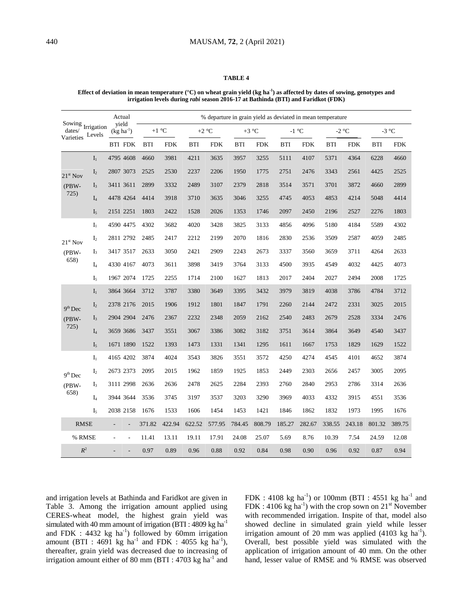#### **Effect of deviation in mean temperature (°C) on wheat grain yield (kg ha-1 ) as affected by dates of sowing, genotypes and irrigation levels during** *rabi* **season 2016-17 at Bathinda (BTI) and Faridkot (FDK)**

|                                                                    |                | Actual         |                          | % departure in grain yield as deviated in mean temperature |            |            |            |            |            |            |            |            |            |            |            |  |
|--------------------------------------------------------------------|----------------|----------------|--------------------------|------------------------------------------------------------|------------|------------|------------|------------|------------|------------|------------|------------|------------|------------|------------|--|
| Sowing $\mathop{\rm Irr}\nolimits_{\mathbin{\mathbb C}}$<br>dates/ | Levels         |                | yield<br>$(kg ha-1)$     |                                                            | $+1$ °C    |            | $+2$ °C    |            | $+3$ °C    |            | $-1$ °C    |            | $-2$ °C    | $-3$ °C    |            |  |
| Varieties                                                          |                | <b>BTI FDK</b> |                          | <b>BTI</b>                                                 | <b>FDK</b> | <b>BTI</b> | <b>FDK</b> | <b>BTI</b> | <b>FDK</b> | <b>BTI</b> | <b>FDK</b> | <b>BTI</b> | <b>FDK</b> | <b>BTI</b> | <b>FDK</b> |  |
| $21st$ Nov<br>$(PBW -$<br>725)                                     | $I_1$          | 4795 4608      |                          | 4660                                                       | 3981       | 4211       | 3635       | 3957       | 3255       | 5111       | 4107       | 5371       | 4364       | 6228       | 4660       |  |
|                                                                    | I <sub>2</sub> | 2807 3073      |                          | 2525                                                       | 2530       | 2237       | 2206       | 1950       | 1775       | 2751       | 2476       | 3343       | 2561       | 4425       | 2525       |  |
|                                                                    | I <sub>3</sub> | 3411 3611      |                          | 2899                                                       | 3332       | 2489       | 3107       | 2379       | 2818       | 3514       | 3571       | 3701       | 3872       | 4660       | 2899       |  |
|                                                                    | $I_4$          | 4478 4264      |                          | 4414                                                       | 3918       | 3710       | 3635       | 3046       | 3255       | 4745       | 4053       | 4853       | 4214       | 5048       | 4414       |  |
|                                                                    | I <sub>5</sub> | 2151 2251      |                          | 1803                                                       | 2422       | 1528       | 2026       | 1353       | 1746       | 2097       | 2450       | 2196       | 2527       | 2276       | 1803       |  |
| $21st$ Nov<br>$(PBW -$<br>658)                                     | $I_1$          | 4590 4475      |                          | 4302                                                       | 3682       | 4020       | 3428       | 3825       | 3133       | 4856       | 4096       | 5180       | 4184       | 5589       | 4302       |  |
|                                                                    | I <sub>2</sub> | 2811 2792      |                          | 2485                                                       | 2417       | 2212       | 2199       | 2070       | 1816       | 2830       | 2536       | 3509       | 2587       | 4059       | 2485       |  |
|                                                                    | $I_3$          | 3417 3517      |                          | 2633                                                       | 3050       | 2421       | 2909       | 2243       | 2673       | 3337       | 3560       | 3659       | 3711       | 4264       | 2633       |  |
|                                                                    | $I_4$          | 4330 4167      |                          | 4073                                                       | 3611       | 3898       | 3419       | 3764       | 3133       | 4500       | 3935       | 4549       | 4032       | 4425       | 4073       |  |
|                                                                    | I <sub>5</sub> | 1967 2074      |                          | 1725                                                       | 2255       | 1714       | 2100       | 1627       | 1813       | 2017       | 2404       | 2027       | 2494       | 2008       | 1725       |  |
|                                                                    | $I_1$          | 3864 3664      |                          | 3712                                                       | 3787       | 3380       | 3649       | 3395       | 3432       | 3979       | 3819       | 4038       | 3786       | 4784       | 3712       |  |
| $9th$ Dec                                                          | I <sub>2</sub> | 2378 2176      |                          | 2015                                                       | 1906       | 1912       | 1801       | 1847       | 1791       | 2260       | 2144       | 2472       | 2331       | 3025       | 2015       |  |
| $(PBW -$                                                           | $I_3$          | 2904 2904      |                          | 2476                                                       | 2367       | 2232       | 2348       | 2059       | 2162       | 2540       | 2483       | 2679       | 2528       | 3334       | 2476       |  |
| 725)                                                               | $I_4$          | 3659 3686      |                          | 3437                                                       | 3551       | 3067       | 3386       | 3082       | 3182       | 3751       | 3614       | 3864       | 3649       | 4540       | 3437       |  |
|                                                                    | I <sub>5</sub> | 1671 1890      |                          | 1522                                                       | 1393       | 1473       | 1331       | 1341       | 1295       | 1611       | 1667       | 1753       | 1829       | 1629       | 1522       |  |
|                                                                    | $I_1$          | 4165 4202      |                          | 3874                                                       | 4024       | 3543       | 3826       | 3551       | 3572       | 4250       | 4274       | 4545       | 4101       | 4652       | 3874       |  |
| $9th$ Dec                                                          | $\mathbf{I}_2$ | 2673 2373      |                          | 2095                                                       | 2015       | 1962       | 1859       | 1925       | 1853       | 2449       | 2303       | 2656       | 2457       | 3005       | 2095       |  |
| $(PBW -$                                                           | I <sub>3</sub> | 3111 2998      |                          | 2636                                                       | 2636       | 2478       | 2625       | 2284       | 2393       | 2760       | 2840       | 2953       | 2786       | 3314       | 2636       |  |
| 658)                                                               | $I_4$          | 3944 3644      |                          | 3536                                                       | 3745       | 3197       | 3537       | 3203       | 3290       | 3969       | 4033       | 4332       | 3915       | 4551       | 3536       |  |
|                                                                    | I <sub>5</sub> | 2038 2158      |                          | 1676                                                       | 1533       | 1606       | 1454       | 1453       | 1421       | 1846       | 1862       | 1832       | 1973       | 1995       | 1676       |  |
| <b>RMSE</b>                                                        |                |                |                          | 371.82                                                     | 422.94     | 622.52     | 577.95     | 784.45     | 808.79     | 185.27     | 282.67     | 338.55     | 243.18     | 801.32     | 389.75     |  |
| % RMSE                                                             |                | ÷,             | $\overline{\phantom{a}}$ | 11.41                                                      | 13.11      | 19.11      | 17.91      | 24.08      | 25.07      | 5.69       | 8.76       | 10.39      | 7.54       | 24.59      | 12.08      |  |
| $R^2$                                                              |                |                |                          | 0.97                                                       | 0.89       | 0.96       | 0.88       | 0.92       | 0.84       | 0.98       | 0.90       | 0.96       | 0.92       | 0.87       | 0.94       |  |

and irrigation levels at Bathinda and Faridkot are given in Table 3. Among the irrigation amount applied using CERES-wheat model, the highest grain yield was simulated with 40 mm amount of irrigation (BTI : 4809 kg ha<sup>-1</sup> and FDK :  $4432$  kg ha<sup>-1</sup>) followed by 60mm irrigation amount (BTI : 4691 kg ha<sup>-1</sup> and FDK : 4055 kg ha<sup>-1</sup>), thereafter, grain yield was decreased due to increasing of irrigation amount either of 80 mm (BTI : 4703 kg ha<sup>-1</sup> and

FDK : 4108 kg ha<sup>-1</sup>) or 100mm (BTI : 4551 kg ha<sup>-1</sup> and FDK : 4106 kg ha<sup>-1</sup>) with the crop sown on  $21^{st}$  November with recommended irrigation. Inspite of that, model also showed decline in simulated grain yield while lesser irrigation amount of 20 mm was applied  $(4103 \text{ kg ha}^{-1})$ . Overall, best possible yield was simulated with the application of irrigation amount of 40 mm. On the other hand, lesser value of RMSE and % RMSE was observed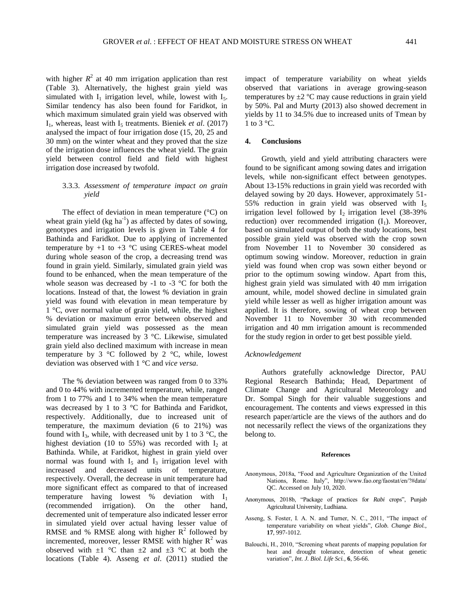with higher  $R^2$  at 40 mm irrigation application than rest (Table 3). Alternatively, the highest grain yield was simulated with  $I_1$  irrigation level, while, lowest with  $I_5$ . Similar tendency has also been found for Faridkot, in which maximum simulated grain yield was observed with  $I_1$ , whereas, least with  $I_5$  treatments. Bieniek *et al.* (2017) analysed the impact of four irrigation dose (15, 20, 25 and 30 mm) on the winter wheat and they proved that the size of the irrigation dose influences the wheat yield. The grain yield between control field and field with highest irrigation dose increased by twofold.

## 3.3.3. *Assessment of temperature impact on grain yield*

The effect of deviation in mean temperature (°C) on wheat grain yield  $(kg ha<sup>-1</sup>)$  as affected by dates of sowing, genotypes and irrigation levels is given in Table 4 for Bathinda and Faridkot. Due to applying of incremented temperature by  $+1$  to  $+3$  °C using CERES-wheat model during whole season of the crop, a decreasing trend was found in grain yield. Similarly, simulated grain yield was found to be enhanced, when the mean temperature of the whole season was decreased by -1 to -3 °C for both the locations. Instead of that, the lowest % deviation in grain yield was found with elevation in mean temperature by 1 °C, over normal value of grain yield, while, the highest % deviation or maximum error between observed and simulated grain yield was possessed as the mean temperature was increased by 3 °C. Likewise, simulated grain yield also declined maximum with increase in mean temperature by 3  $\degree$ C followed by 2  $\degree$ C, while, lowest deviation was observed with 1 °C and *vice versa*.

The % deviation between was ranged from 0 to 33% and 0 to 44% with incremented temperature, while, ranged from 1 to 77% and 1 to 34% when the mean temperature was decreased by 1 to 3 °C for Bathinda and Faridkot, respectively. Additionally, due to increased unit of temperature, the maximum deviation (6 to 21%) was found with I<sub>3</sub>, while, with decreased unit by 1 to 3  $^{\circ}$ C, the highest deviation (10 to 55%) was recorded with  $I_2$  at Bathinda. While, at Faridkot, highest in grain yield over normal was found with  $I_5$  and  $I_3$  irrigation level with increased and decreased units of temperature, respectively. Overall, the decrease in unit temperature had more significant effect as compared to that of increased temperature having lowest % deviation with  $I_1$ (recommended irrigation). On the other hand, decremented unit of temperature also indicated lesser error in simulated yield over actual having lesser value of RMSE and % RMSE along with higher  $R^2$  followed by incremented, moreover, lesser RMSE with higher  $R^2$  was observed with  $\pm 1$  °C than  $\pm 2$  and  $\pm 3$  °C at both the locations (Table 4). Asseng *et al*. (2011) studied the

impact of temperature variability on wheat yields observed that variations in average growing-season temperatures by  $\pm 2$  °C may cause reductions in grain yield by 50%. Pal and Murty (2013) also showed decrement in yields by 11 to 34.5% due to increased units of Tmean by 1 to 3  $\mathrm{^{\circ}C}$ .

# **4. Conclusions**

Growth, yield and yield attributing characters were found to be significant among sowing dates and irrigation levels, while non-significant effect between genotypes. About 13-15% reductions in grain yield was recorded with delayed sowing by 20 days. However, approximately 51- 55% reduction in grain yield was observed with  $I_5$ irrigation level followed by  $I_2$  irrigation level (38-39%) reduction) over recommended irrigation  $(I_1)$ . Moreover, based on simulated output of both the study locations, best possible grain yield was observed with the crop sown from November 11 to November 30 considered as optimum sowing window. Moreover, reduction in grain yield was found when crop was sown either beyond or prior to the optimum sowing window. Apart from this, highest grain yield was simulated with 40 mm irrigation amount, while, model showed decline in simulated grain yield while lesser as well as higher irrigation amount was applied. It is therefore, sowing of wheat crop between November 11 to November 30 with recommended irrigation and 40 mm irrigation amount is recommended for the study region in order to get best possible yield.

### *Acknowledgement*

Authors gratefully acknowledge Director, PAU Regional Research Bathinda; Head, Department of Climate Change and Agricultural Meteorology and Dr. Sompal Singh for their valuable suggestions and encouragement. The contents and views expressed in this research paper/article are the views of the authors and do not necessarily reflect the views of the organizations they belong to.

#### **References**

- Anonymous, 2018a, "Food and Agriculture Organization of the United Nations, Rome. Italy", http://www.fao.org/faostat/en/?#data/ QC. Accessed on July 10, 2020.
- Anonymous, 2018b, "Package of practices for *Rabi* crops", Punjab Agricultural University, Ludhiana.
- Asseng, S. Foster, I. A. N. and Turner, N. C., 2011, "The impact of temperature variability on wheat yields", *Glob. Change Biol.*, **17**, 997-1012.
- Balouchi, H., 2010, "Screening wheat parents of mapping population for heat and drought tolerance, detection of wheat genetic variation", *Int. J. Biol. Life Sci.*, **6**, 56-66.